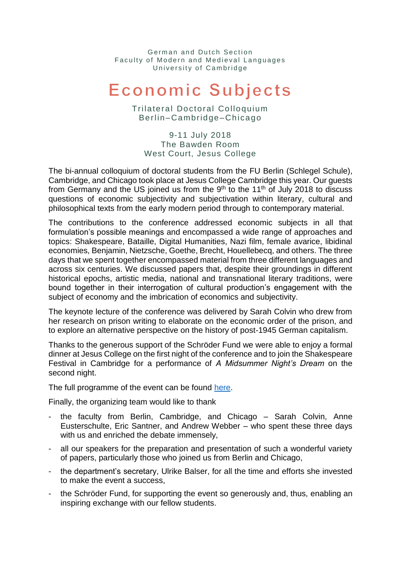German and Dutch Section Faculty of Modern and Medieval Languages University of Cambridge

## **Economic Subjects**

Trilateral Doctoral Colloquium Berlin–Cambridge–Chicago

9-11 July 2018 The Bawden Room West Court, Jesus College

The bi-annual colloquium of doctoral students from the FU Berlin (Schlegel Schule), Cambridge, and Chicago took place at Jesus College Cambridge this year. Our guests from Germany and the US joined us from the  $9<sup>th</sup>$  to the 11<sup>th</sup> of July 2018 to discuss questions of economic subjectivity and subjectivation within literary, cultural and philosophical texts from the early modern period through to contemporary material.

The contributions to the conference addressed economic subjects in all that formulation's possible meanings and encompassed a wide range of approaches and topics: Shakespeare, Bataille, Digital Humanities, Nazi film, female avarice, libidinal economies, Benjamin, Nietzsche, Goethe, Brecht, Houellebecq, and others. The three days that we spent together encompassed material from three different languages and across six centuries. We discussed papers that, despite their groundings in different historical epochs, artistic media, national and transnational literary traditions, were bound together in their interrogation of cultural production's engagement with the subject of economy and the imbrication of economics and subjectivity.

The keynote lecture of the conference was delivered by Sarah Colvin who drew from her research on prison writing to elaborate on the economic order of the prison, and to explore an alternative perspective on the history of post-1945 German capitalism.

Thanks to the generous support of the Schröder Fund we were able to enjoy a formal dinner at Jesus College on the first night of the conference and to join the Shakespeare Festival in Cambridge for a performance of *A Midsummer Night's Dream* on the second night.

The full programme of the event can be found [here.](https://www.mml.cam.ac.uk/sites/www.mml.cam.ac.uk/files/programme.pdf)

Finally, the organizing team would like to thank

- the faculty from Berlin, Cambridge, and Chicago Sarah Colvin, Anne Eusterschulte, Eric Santner, and Andrew Webber – who spent these three days with us and enriched the debate immensely,
- all our speakers for the preparation and presentation of such a wonderful variety of papers, particularly those who joined us from Berlin and Chicago,
- the department's secretary, Ulrike Balser, for all the time and efforts she invested to make the event a success,
- the Schröder Fund, for supporting the event so generously and, thus, enabling an inspiring exchange with our fellow students.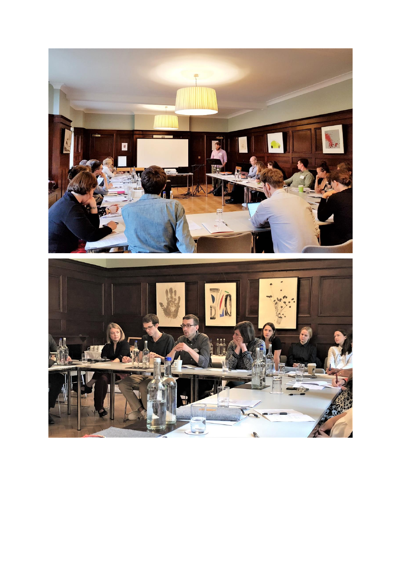